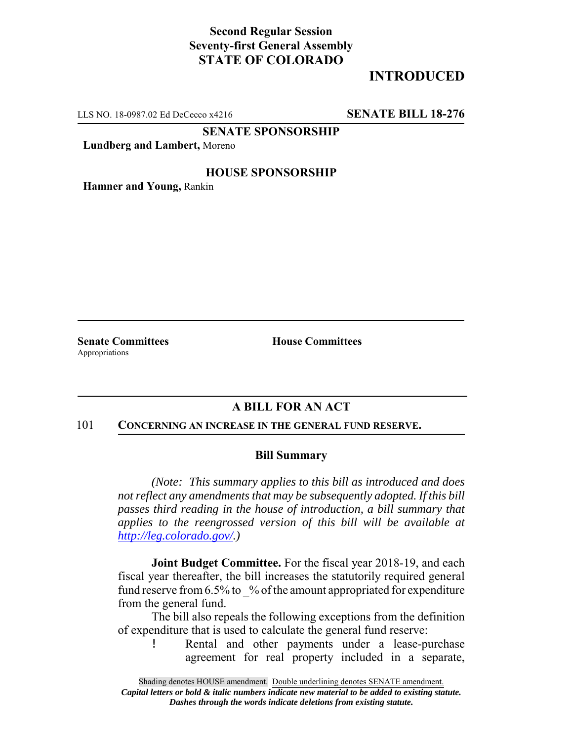# **Second Regular Session Seventy-first General Assembly STATE OF COLORADO**

# **INTRODUCED**

LLS NO. 18-0987.02 Ed DeCecco x4216 **SENATE BILL 18-276**

**SENATE SPONSORSHIP**

**Lundberg and Lambert,** Moreno

## **HOUSE SPONSORSHIP**

**Hamner and Young,** Rankin

Appropriations

**Senate Committees House Committees** 

## **A BILL FOR AN ACT**

#### 101 **CONCERNING AN INCREASE IN THE GENERAL FUND RESERVE.**

### **Bill Summary**

*(Note: This summary applies to this bill as introduced and does not reflect any amendments that may be subsequently adopted. If this bill passes third reading in the house of introduction, a bill summary that applies to the reengrossed version of this bill will be available at http://leg.colorado.gov/.)*

**Joint Budget Committee.** For the fiscal year 2018-19, and each fiscal year thereafter, the bill increases the statutorily required general fund reserve from  $6.5\%$  to  $\%$  of the amount appropriated for expenditure from the general fund.

The bill also repeals the following exceptions from the definition of expenditure that is used to calculate the general fund reserve:

! Rental and other payments under a lease-purchase agreement for real property included in a separate,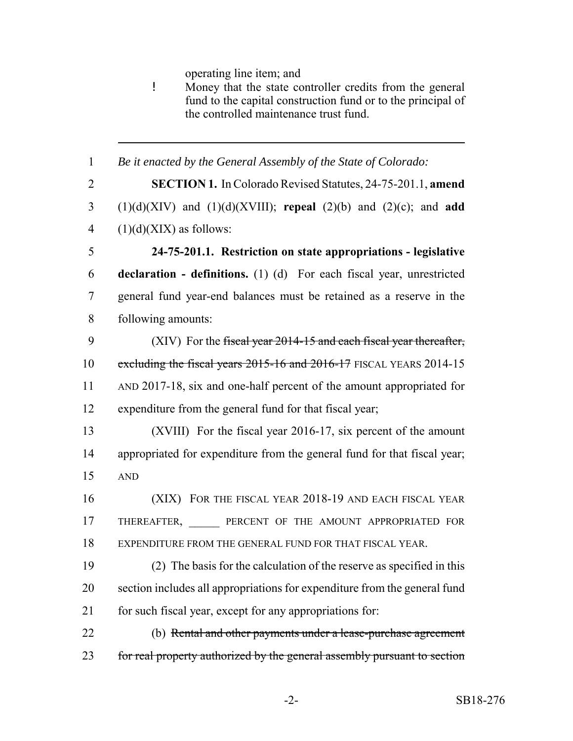operating line item; and

! Money that the state controller credits from the general fund to the capital construction fund or to the principal of the controlled maintenance trust fund.

 *Be it enacted by the General Assembly of the State of Colorado:* **SECTION 1.** In Colorado Revised Statutes, 24-75-201.1, **amend** (1)(d)(XIV) and (1)(d)(XVIII); **repeal** (2)(b) and (2)(c); and **add**  $(1)(d)(XIX)$  as follows: **24-75-201.1. Restriction on state appropriations - legislative declaration - definitions.** (1) (d) For each fiscal year, unrestricted general fund year-end balances must be retained as a reserve in the following amounts: (XIV) For the fiscal year 2014-15 and each fiscal year thereafter, 10 excluding the fiscal years 2015-16 and 2016-17 FISCAL YEARS 2014-15 AND 2017-18, six and one-half percent of the amount appropriated for expenditure from the general fund for that fiscal year; (XVIII) For the fiscal year 2016-17, six percent of the amount appropriated for expenditure from the general fund for that fiscal year; AND (XIX) FOR THE FISCAL YEAR 2018-19 AND EACH FISCAL YEAR 17 THEREAFTER, PERCENT OF THE AMOUNT APPROPRIATED FOR EXPENDITURE FROM THE GENERAL FUND FOR THAT FISCAL YEAR. (2) The basis for the calculation of the reserve as specified in this section includes all appropriations for expenditure from the general fund 21 for such fiscal year, except for any appropriations for: (b) Rental and other payments under a lease-purchase agreement 23 for real property authorized by the general assembly pursuant to section